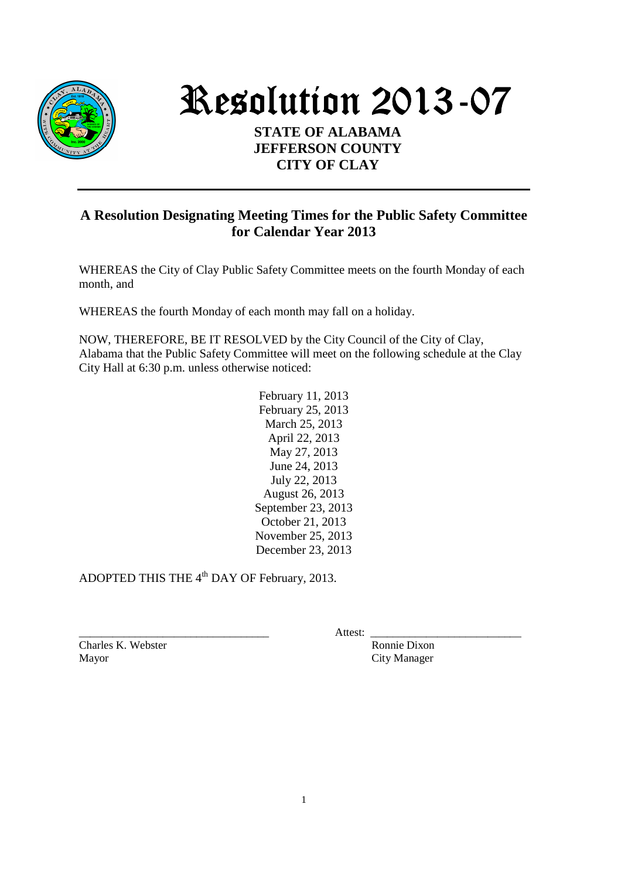

Resolution 2013-07

## **STATE OF ALABAMA JEFFERSON COUNTY CITY OF CLAY**

## **A Resolution Designating Meeting Times for the Public Safety Committee for Calendar Year 2013**

WHEREAS the City of Clay Public Safety Committee meets on the fourth Monday of each month, and

WHEREAS the fourth Monday of each month may fall on a holiday.

NOW, THEREFORE, BE IT RESOLVED by the City Council of the City of Clay, Alabama that the Public Safety Committee will meet on the following schedule at the Clay City Hall at 6:30 p.m. unless otherwise noticed:

> February 11, 2013 February 25, 2013 March 25, 2013 April 22, 2013 May 27, 2013 June 24, 2013 July 22, 2013 August 26, 2013 September 23, 2013 October 21, 2013 November 25, 2013 December 23, 2013

ADOPTED THIS THE 4<sup>th</sup> DAY OF February, 2013.

Charles K. Webster Ronnie Dixon Mayor City Manager

\_\_\_\_\_\_\_\_\_\_\_\_\_\_\_\_\_\_\_\_\_\_\_\_\_\_\_\_\_\_\_\_\_\_ Attest: \_\_\_\_\_\_\_\_\_\_\_\_\_\_\_\_\_\_\_\_\_\_\_\_\_\_\_